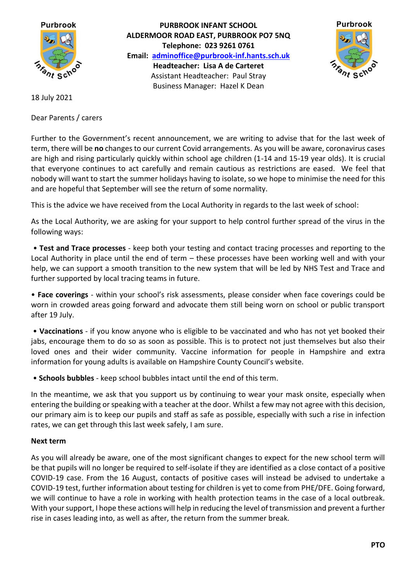

**PURBROOK INFANT SCHOOL ALDERMOOR ROAD EAST, PURBROOK PO7 5NQ Telephone: 023 9261 0761 Email: [adminoffice@purbrook-inf.hants.sch.uk](mailto:adminoffice@purbrook-inf.hants.sch.uk) Headteacher: Lisa A de Carteret** Assistant Headteacher: Paul Stray Business Manager: Hazel K Dean



18 July 2021

Dear Parents / carers

Further to the Government's recent announcement, we are writing to advise that for the last week of term, there will be **no** changes to our current Covid arrangements. As you will be aware, coronavirus cases are high and rising particularly quickly within school age children (1-14 and 15-19 year olds). It is crucial that everyone continues to act carefully and remain cautious as restrictions are eased. We feel that nobody will want to start the summer holidays having to isolate, so we hope to minimise the need for this and are hopeful that September will see the return of some normality.

This is the advice we have received from the Local Authority in regards to the last week of school:

As the Local Authority, we are asking for your support to help control further spread of the virus in the following ways:

• **Test and Trace processes** - keep both your testing and contact tracing processes and reporting to the Local Authority in place until the end of term – these processes have been working well and with your help, we can support a smooth transition to the new system that will be led by NHS Test and Trace and further supported by local tracing teams in future.

• **Face coverings** - within your school's risk assessments, please consider when face coverings could be worn in crowded areas going forward and advocate them still being worn on school or public transport after 19 July.

• **Vaccinations** - if you know anyone who is eligible to be vaccinated and who has not yet booked their jabs, encourage them to do so as soon as possible. This is to protect not just themselves but also their loved ones and their wider community. Vaccine information for people in Hampshire and extra information for young adults is available on Hampshire County Council's website.

• **Schools bubbles** - keep school bubbles intact until the end of this term.

In the meantime, we ask that you support us by continuing to wear your mask onsite, especially when entering the building or speaking with a teacher at the door. Whilst a few may not agree with this decision, our primary aim is to keep our pupils and staff as safe as possible, especially with such a rise in infection rates, we can get through this last week safely, I am sure.

## **Next term**

As you will already be aware, one of the most significant changes to expect for the new school term will be that pupils will no longer be required to self-isolate if they are identified as a close contact of a positive COVID-19 case. From the 16 August, contacts of positive cases will instead be advised to undertake a COVID-19 test, further information about testing for children is yet to come from PHE/DFE. Going forward, we will continue to have a role in working with health protection teams in the case of a local outbreak. With your support, I hope these actions will help in reducing the level of transmission and prevent a further rise in cases leading into, as well as after, the return from the summer break.